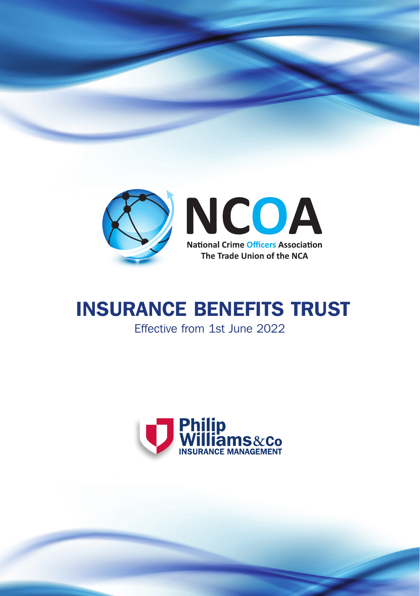

# INSURANCE BENEFITS TRUST Effective from 1st June 2022

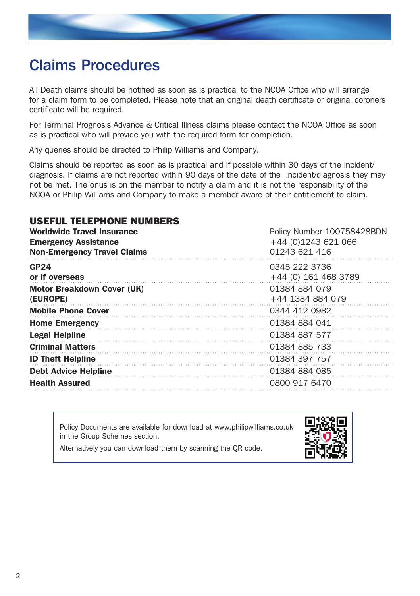

# Claims Procedures

All Death claims should be notified as soon as is practical to the NCOA Office who will arrange for a claim form to be completed. Please note that an original death certificate or original coroners certificate will be required.

For Terminal Prognosis Advance & Critical Illness claims please contact the NCOA Office as soon as is practical who will provide you with the required form for completion.

Any queries should be directed to Philip Williams and Company.

Claims should be reported as soon as is practical and if possible within 30 days of the incident/ diagnosis. If claims are not reported within 90 days of the date of the incident/diagnosis they may not be met. The onus is on the member to notify a claim and it is not the responsibility of the NCOA or Philip Williams and Company to make a member aware of their entitlement to claim.

# USEFUL TELEPHONE NUMBERS

| <b>Worldwide Travel Insurance</b><br><b>Emergency Assistance</b><br><b>Non-Emergency Travel Claims</b> | Policy Number 100758428BDN<br>+44 (0)1243 621 066<br>01243 621 416 |
|--------------------------------------------------------------------------------------------------------|--------------------------------------------------------------------|
| GP24<br>or if overseas                                                                                 | 0345 222 3736<br>$+44$ (0) 161 468 3789                            |
| Motor Breakdown Cover (UK)<br>(EUROPE)                                                                 | 01384 884 079<br>+44 1384 884 079                                  |
| <b>Mobile Phone Cover</b>                                                                              | 0344 412 0982                                                      |
| <b>Home Emergency</b>                                                                                  | 01384 884 041                                                      |
| <b>Legal Helpline</b>                                                                                  | 01384 887 577                                                      |
| <b>Criminal Matters</b>                                                                                | 01384 885 733                                                      |
| <b>ID Theft Helpline</b>                                                                               | 01384 397 757                                                      |
| <b>Debt Advice Helpline</b>                                                                            | 01384 884 085                                                      |
| <b>Health Assured</b>                                                                                  | 0800 917 6470                                                      |

Policy Documents are available for download at www.philipwilliams.co.uk in the Group Schemes section.



Alternatively you can download them by scanning the QR code.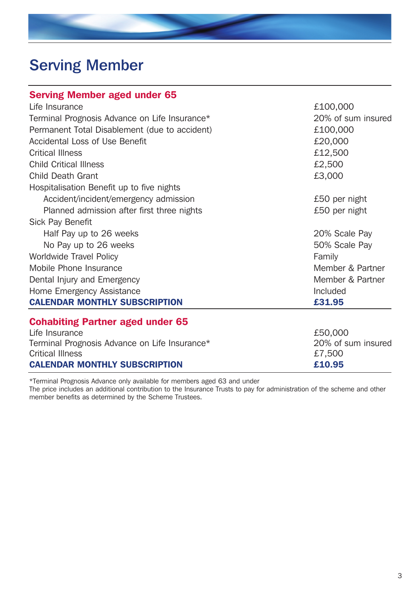# Serving Member

| <b>Serving Member aged under 65</b>           |                    |
|-----------------------------------------------|--------------------|
| Life Insurance                                | £100,000           |
| Terminal Prognosis Advance on Life Insurance* | 20% of sum insured |
| Permanent Total Disablement (due to accident) | £100,000           |
| Accidental Loss of Use Benefit                | £20,000            |
| Critical Illness                              | £12,500            |
| <b>Child Critical Illness</b>                 | £2,500             |
| Child Death Grant                             | £3,000             |
| Hospitalisation Benefit up to five nights     |                    |
| Accident/incident/emergency admission         | £50 per night      |
| Planned admission after first three nights    | £50 per night      |
| Sick Pay Benefit                              |                    |
| Half Pay up to 26 weeks                       | 20% Scale Pay      |
| No Pay up to 26 weeks                         | 50% Scale Pay      |
| Worldwide Travel Policy                       | Family             |
| Mobile Phone Insurance                        | Member & Partner   |
| Dental Injury and Emergency                   | Member & Partner   |
| Home Emergency Assistance                     | Included           |
| <b>CALENDAR MONTHLY SUBSCRIPTION</b>          | £31.95             |
| <b>Cohabiting Partner aged under 65</b>       |                    |
| Life Insurance                                | £50,000            |
| Terminal Prognosis Advance on Life Insurance* | 20% of sum insured |
| <b>Critical Illness</b>                       | £7,500             |

\*Terminal Prognosis Advance only available for members aged 63 and under

The price includes an additional contribution to the Insurance Trusts to pay for administration of the scheme and other member benefits as determined by the Scheme Trustees.

CALENDAR MONTHLY SUBSCRIPTION £10.95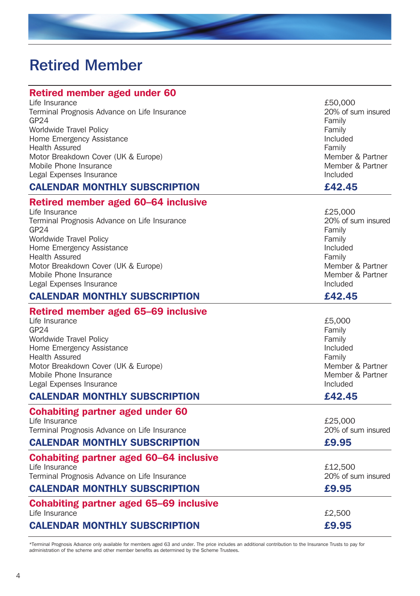# Retired Member

| <b>Retired member aged under 60</b>                                                |                                         |
|------------------------------------------------------------------------------------|-----------------------------------------|
| Life Insurance<br>Terminal Prognosis Advance on Life Insurance<br>GP <sub>24</sub> | £50,000<br>20% of sum insured<br>Family |
| Worldwide Travel Policy                                                            | Family                                  |
| Home Emergency Assistance<br><b>Health Assured</b>                                 | Included<br>Family                      |
| Motor Breakdown Cover (UK & Europe)                                                | Member & Partner                        |
| Mobile Phone Insurance                                                             | Member & Partner                        |
| Legal Expenses Insurance<br><b>CALENDAR MONTHLY SUBSCRIPTION</b>                   | Included<br>£42.45                      |
|                                                                                    |                                         |
| Retired member aged 60-64 inclusive<br>Life Insurance                              | £25,000                                 |
| Terminal Prognosis Advance on Life Insurance<br>GP <sub>24</sub>                   | 20% of sum insured<br>Family            |
| Worldwide Travel Policy                                                            | Family                                  |
| Home Emergency Assistance<br><b>Health Assured</b>                                 | Included<br>Family                      |
| Motor Breakdown Cover (UK & Europe)                                                | Member & Partner                        |
| Mobile Phone Insurance                                                             | Member & Partner                        |
| Legal Expenses Insurance                                                           | Included                                |
| <b>CALENDAR MONTHLY SUBSCRIPTION</b>                                               | £42.45                                  |
| Retired member aged 65-69 inclusive                                                |                                         |
| Life Insurance<br>GP24                                                             | £5,000<br>Family                        |
| <b>Worldwide Travel Policy</b>                                                     | Family                                  |
| Home Emergency Assistance                                                          | Included                                |
| <b>Health Assured</b>                                                              | Family                                  |
| Motor Breakdown Cover (UK & Europe)<br>Mobile Phone Insurance                      | Member & Partner<br>Member & Partner    |
| Legal Expenses Insurance                                                           | Included                                |
| <b>CALENDAR MONTHLY SUBSCRIPTION</b>                                               | £42.45                                  |
| <b>Cohabiting partner aged under 60</b>                                            |                                         |
| Life Insurance                                                                     | £25,000                                 |
| Terminal Prognosis Advance on Life Insurance                                       | 20% of sum insured                      |
| <b>CALENDAR MONTHLY SUBSCRIPTION</b>                                               | £9.95                                   |
| <b>Cohabiting partner aged 60-64 inclusive</b>                                     |                                         |
| Life Insurance<br>Terminal Prognosis Advance on Life Insurance                     | £12,500<br>20% of sum insured           |
| <b>CALENDAR MONTHLY SUBSCRIPTION</b>                                               | £9.95                                   |
|                                                                                    |                                         |
| <b>Cohabiting partner aged 65-69 inclusive</b><br>Life Insurance                   | £2,500                                  |
| <b>CALENDAR MONTHLY SUBSCRIPTION</b>                                               | £9.95                                   |

\*Terminal Prognosis Advance only available for members aged 63 and under. The price includes an additional contribution to the Insurance Trusts to pay for<br>administration of the scheme and other member benefits as determine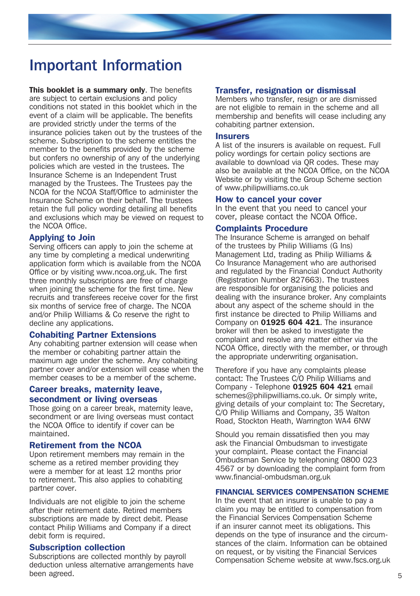# Important Information

This booklet is a summary only. The benefits are subject to certain exclusions and policy conditions not stated in this booklet which in the event of a claim will be applicable. The benefits are provided strictly under the terms of the insurance policies taken out by the trustees of the scheme. Subscription to the scheme entitles the member to the benefits provided by the scheme but confers no ownership of any of the underlying policies which are vested in the trustees. The Insurance Scheme is an Independent Trust managed by the Trustees. The Trustees pay the NCOA for the NCOA Staff/Office to administer the Insurance Scheme on their behalf. The trustees retain the full policy wording detailing all benefits and exclusions which may be viewed on request to the NCOA Office.

### Applying to Join

Serving officers can apply to join the scheme at any time by completing a medical underwriting application form which is available from the NCOA Office or by visiting www.ncoa.org.uk. The first three monthly subscriptions are free of charge when joining the scheme for the first time. New recruits and transferees receive cover for the first six months of service free of charge. The NCOA and/or Philip Williams & Co reserve the right to decline any applications.

#### Cohabiting Partner Extensions

Any cohabiting partner extension will cease when the member or cohabiting partner attain the maximum age under the scheme. Any cohabiting partner cover and/or extension will cease when the member ceases to be a member of the scheme.

#### Career breaks, maternity leave, secondment or living overseas

Those going on a career break, maternity leave, secondment or are living overseas must contact the NCOA Office to identify if cover can be maintained.

#### Retirement from the NCOA

Upon retirement members may remain in the scheme as a retired member providing they were a member for at least 12 months prior to retirement. This also applies to cohabiting partner cover.

Individuals are not eligible to join the scheme after their retirement date. Retired members subscriptions are made by direct debit. Please contact Philip Williams and Company if a direct debit form is required.

#### Subscription collection

Subscriptions are collected monthly by payroll deduction unless alternative arrangements have been agreed.

#### Transfer, resignation or dismissal

Members who transfer, resign or are dismissed are not eligible to remain in the scheme and all membership and benefits will cease including any cohabiting partner extension.

#### **Insurers**

A list of the insurers is available on request. Full policy wordings for certain policy sections are available to download via QR codes. These may also be available at the NCOA Office, on the NCOA Website or by visiting the Group Scheme section of www.philipwilliams.co.uk

#### How to cancel your cover

In the event that you need to cancel your cover, please contact the NCOA Office.

#### Complaints Procedure

The Insurance Scheme is arranged on behalf of the trustees by Philip Williams (G Ins) Management Ltd, trading as Philip Williams & Co Insurance Management who are authorised and regulated by the Financial Conduct Authority (Registration Number 827663). The trustees are responsible for organising the policies and dealing with the insurance broker. Any complaints about any aspect of the scheme should in the first instance be directed to Philip Williams and Company on 01925 604 421. The insurance broker will then be asked to investigate the complaint and resolve any matter either via the NCOA Office, directly with the member, or through the appropriate underwriting organisation.

Therefore if you have any complaints please contact: The Trustees C/O Philip Williams and Company - Telephone 01925 604 421 email schemes@philipwilliams.co.uk. Or simply write. giving details of your complaint to: The Secretary, C/O Philip Williams and Company, 35 Walton Road, Stockton Heath, Warrington WA4 6NW

Should you remain dissatisfied then you may ask the Financial Ombudsman to investigate your complaint. Please contact the Financial Ombudsman Service by telephoning 0800 023 4567 or by downloading the complaint form from www.financial-ombudsman.org.uk

### FINANCIAL SERVICES COMPENSATION SCHEME

In the event that an insurer is unable to pay a claim you may be entitled to compensation from the Financial Services Compensation Scheme if an insurer cannot meet its obligations. This depends on the type of insurance and the circumstances of the claim. Information can be obtained on request, or by visiting the Financial Services Compensation Scheme website at www.fscs.org.uk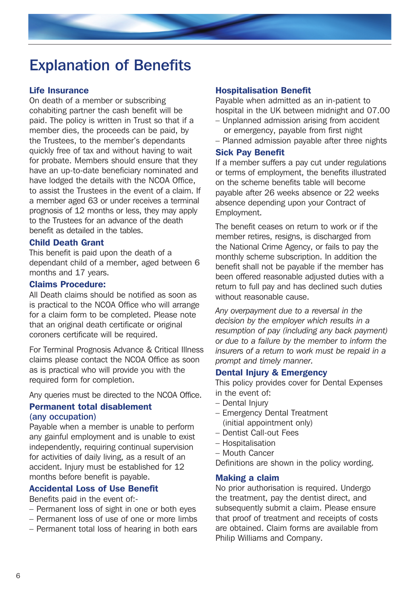# Explanation of Benefits

### Life Insurance

On death of a member or subscribing cohabiting partner the cash benefit will be paid. The policy is written in Trust so that if a member dies, the proceeds can be paid, by the Trustees, to the member's dependants quickly free of tax and without having to wait for probate. Members should ensure that they have an up-to-date beneficiary nominated and have lodged the details with the NCOA Office, to assist the Trustees in the event of a claim. If a member aged 63 or under receives a terminal prognosis of 12 months or less, they may apply to the Trustees for an advance of the death benefit as detailed in the tables.

### Child Death Grant

This benefit is paid upon the death of a dependant child of a member, aged between 6 months and 17 years.

# Claims Procedure:

All Death claims should be notified as soon as is practical to the NCOA Office who will arrange for a claim form to be completed. Please note that an original death certificate or original coroners certificate will be required.

For Terminal Prognosis Advance & Critical Illness claims please contact the NCOA Office as soon as is practical who will provide you with the required form for completion.

Any queries must be directed to the NCOA Office.

# Permanent total disablement (any occupation)

Payable when a member is unable to perform any gainful employment and is unable to exist independently, requiring continual supervision for activities of daily living, as a result of an accident. Injury must be established for 12 months before benefit is payable.

# Accidental Loss of Use Benefit

Benefits paid in the event of:-

- Permanent loss of sight in one or both eyes
- Permanent loss of use of one or more limbs
- Permanent total loss of hearing in both ears

### Hospitalisation Benefit

Payable when admitted as an in-patient to hospital in the UK between midnight and 07.00

- Unplanned admission arising from accident or emergency, payable from first night
- Planned admission payable after three nights

# Sick Pay Benefit

If a member suffers a pay cut under regulations or terms of employment, the benefits illustrated on the scheme benefits table will become payable after 26 weeks absence or 22 weeks absence depending upon your Contract of Employment.

The benefit ceases on return to work or if the member retires, resigns, is discharged from the National Crime Agency, or fails to pay the monthly scheme subscription. In addition the benefit shall not be payable if the member has been offered reasonable adjusted duties with a return to full pay and has declined such duties without reasonable cause.

*Any overpayment due to a reversal in the decision by the employer which results in a resumption of pay (including any back payment) or due to a failure by the member to inform the insurers of a return to work must be repaid in a prompt and timely manner.*

# Dental Injury & Emergency

This policy provides cover for Dental Expenses in the event of:

- Dental Injury
- Emergency Dental Treatment (initial appointment only)
- Dentist Call-out Fees
- Hospitalisation
- Mouth Cancer

Definitions are shown in the policy wording.

### Making a claim

No prior authorisation is required. Undergo the treatment, pay the dentist direct, and subsequently submit a claim. Please ensure that proof of treatment and receipts of costs are obtained. Claim forms are available from Philip Williams and Company.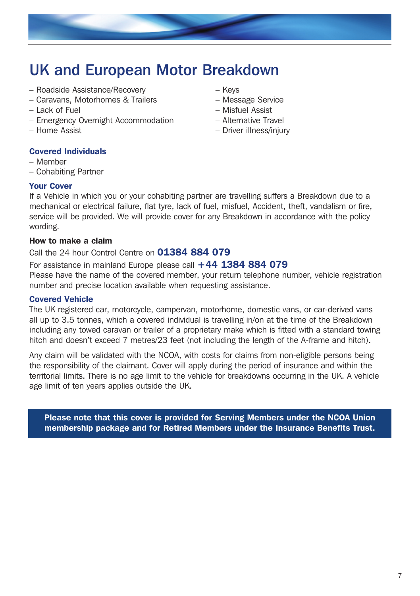

# UK and European Motor Breakdown

- Roadside Assistance/Recovery
- Caravans, Motorhomes & Trailers
- Lack of Fuel
- Emergency Overnight Accommodation
- Home Assist
- Covered Individuals
- Member
- Cohabiting Partner

# Your Cover

If a Vehicle in which you or your cohabiting partner are travelling suffers a Breakdown due to a mechanical or electrical failure, flat tyre, lack of fuel, misfuel, Accident, theft, vandalism or fire, service will be provided. We will provide cover for any Breakdown in accordance with the policy wording.

# How to make a claim

# Call the 24 hour Control Centre on 01384 884 079

For assistance in mainland Europe please call  $+44$  1384 884 079

Please have the name of the covered member, your return telephone number, vehicle registration number and precise location available when requesting assistance.

### Covered Vehicle

The UK registered car, motorcycle, campervan, motorhome, domestic vans, or car-derived vans all up to 3.5 tonnes, which a covered individual is travelling in/on at the time of the Breakdown including any towed caravan or trailer of a proprietary make which is fitted with a standard towing hitch and doesn't exceed 7 metres/23 feet (not including the length of the A-frame and hitch).

Any claim will be validated with the NCOA, with costs for claims from non-eligible persons being the responsibility of the claimant. Cover will apply during the period of insurance and within the territorial limits. There is no age limit to the vehicle for breakdowns occurring in the UK. A vehicle age limit of ten years applies outside the UK.

Please note that this cover is provided for Serving Members under the NCOA Union membership package and for Retired Members under the Insurance Benefits Trust.

- Keys
- Message Service
- Misfuel Assist
- Alternative Travel
- Driver illness/injury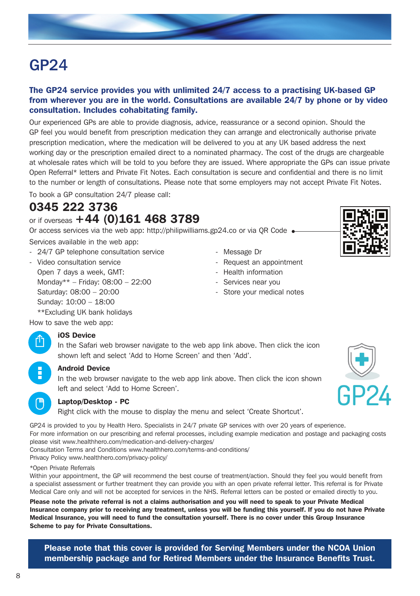# GP24

# The GP24 service provides you with unlimited 24/7 access to a practising UK-based GP from wherever you are in the world. Consultations are available 24/7 by phone or by video consultation. Includes cohabitating family.

Our experienced GPs are able to provide diagnosis, advice, reassurance or a second opinion. Should the GP feel you would benefit from prescription medication they can arrange and electronically authorise private prescription medication, where the medication will be delivered to you at any UK based address the next working day or the prescription emailed direct to a nominated pharmacy. The cost of the drugs are chargeable at wholesale rates which will be told to you before they are issued. Where appropriate the GPs can issue private Open Referral\* letters and Private Fit Notes. Each consultation is secure and confidential and there is no limit to the number or length of consultations. Please note that some employers may not accept Private Fit Notes.

To book a GP consultation 24/7 please call:

# 0345 222 3736 or if overseas +44 (0)161 468 3789

Or access services via the web app: http://philipwilliams.gp24.co or via QR Code

Services available in the web app:

- 24/7 GP telephone consultation service
- Video consultation service Open 7 days a week, GMT: Monday\*\* – Friday: 08:00 – 22:00 Saturday: 08:00 – 20:00 Sunday: 10:00 – 18:00 \*\*Excluding UK bank holidays
- Message Dr
- Request an appointment
- Health information
- Services near you
- Store your medical notes

How to save the web app:

### iOS Device

In the Safari web browser navigate to the web app link above. Then click the icon shown left and select 'Add to Home Screen' and then 'Add'.

#### Android Device

In the web browser navigate to the web app link above. Then click the icon shown left and select 'Add to Home Screen'.

#### Laptop/Desktop - PC

Right click with the mouse to display the menu and select 'Create Shortcut'.

GP24 is provided to you by Health Hero. Specialists in 24/7 private GP services with over 20 years of experience. For more information on our prescribing and referral processes, including example medication and postage and packaging costs please visit www.healthhero.com/medication-and-delivery-charges/

Consultation Terms and Conditions www.healthhero.com/terms-and-conditions/

Privacy Policy www.healthhero.com/privacy-policy/

\*Open Private Referrals

Within your appointment, the GP will recommend the best course of treatment/action. Should they feel you would benefit from a specialist assessment or further treatment they can provide you with an open private referral letter. This referral is for Private Medical Care only and will not be accepted for services in the NHS. Referral letters can be posted or emailed directly to you.

Please note the private referral is not a claims authorisation and you will need to speak to your Private Medical Insurance company prior to receiving any treatment, unless you will be funding this yourself. If you do not have Private Medical Insurance, you will need to fund the consultation yourself. There is no cover under this Group Insurance Scheme to pay for Private Consultations.

Please note that this cover is provided for Serving Members under the NCOA Union membership package and for Retired Members under the Insurance Benefits Trust.







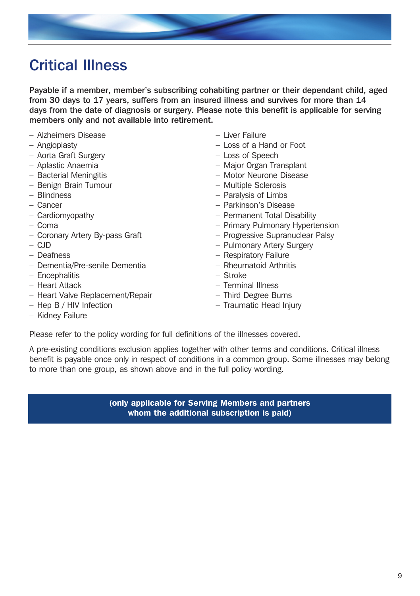

# Critical Illness

Payable if a member, member's subscribing cohabiting partner or their dependant child, aged from 30 days to 17 years, suffers from an insured illness and survives for more than 14 days from the date of diagnosis or surgery. Please note this benefit is applicable for serving members only and not available into retirement.

- Alzheimers Disease
- Angioplasty
- Aorta Graft Surgery
- Aplastic Anaemia
- Bacterial Meningitis
- Benign Brain Tumour
- Blindness
- Cancer
- Cardiomyopathy
- Coma
- Coronary Artery By-pass Graft
- CJD
- Deafness
- Dementia/Pre-senile Dementia
- Encephalitis
- Heart Attack
- Heart Valve Replacement/Repair
- Hep B / HIV Infection
- Kidney Failure
- Liver Failure
- Loss of a Hand or Foot
- Loss of Speech
- Major Organ Transplant
- Motor Neurone Disease
- Multiple Sclerosis
- Paralysis of Limbs
- Parkinson's Disease
- Permanent Total Disability
- Primary Pulmonary Hypertension
- Progressive Supranuclear Palsy
- Pulmonary Artery Surgery
- Respiratory Failure
- Rheumatoid Arthritis
- Stroke
- Terminal Illness
- Third Degree Burns
- Traumatic Head Injury

Please refer to the policy wording for full definitions of the illnesses covered.

A pre-existing conditions exclusion applies together with other terms and conditions. Critical illness benefit is payable once only in respect of conditions in a common group. Some illnesses may belong to more than one group, as shown above and in the full policy wording.

> (only applicable for Serving Members and partners whom the additional subscription is paid)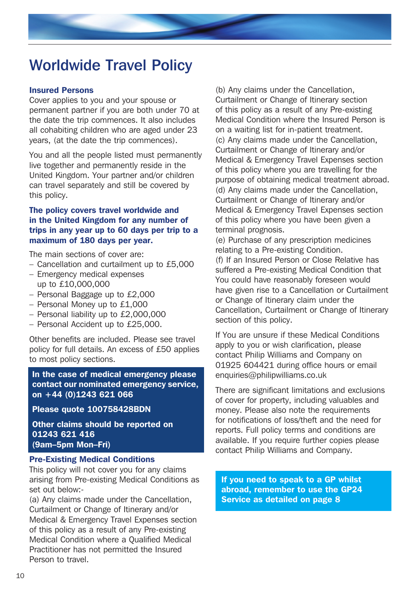# Worldwide Travel Policy

#### Insured Persons

Cover applies to you and your spouse or permanent partner if you are both under 70 at the date the trip commences. It also includes all cohabiting children who are aged under 23 years, (at the date the trip commences).

You and all the people listed must permanently live together and permanently reside in the United Kingdom. Your partner and/or children can travel separately and still be covered by this policy.

# The policy covers travel worldwide and in the United Kingdom for any number of trips in any year up to 60 days per trip to a maximum of 180 days per year.

The main sections of cover are:

- Cancellation and curtailment up to £5,000
- Emergency medical expenses up to £10,000,000
- Personal Baggage up to £2,000
- Personal Money up to £1,000
- Personal liability up to £2,000,000
- Personal Accident up to £25,000.

Other benefits are included. Please see travel policy for full details. An excess of £50 applies to most policy sections.

In the case of medical emergency please contact our nominated emergency service, on +44 (0)1243 621 066

Please quote 100758428BDN

Other claims should be reported on 01243 621 416 (9am–5pm Mon–Fri)

### Pre-Existing Medical Conditions

This policy will not cover you for any claims arising from Pre-existing Medical Conditions as set out below:-

(a) Any claims made under the Cancellation, Curtailment or Change of Itinerary and/or Medical & Emergency Travel Expenses section of this policy as a result of any Pre-existing Medical Condition where a Qualified Medical Practitioner has not permitted the Insured Person to travel.

(b) Any claims under the Cancellation, Curtailment or Change of Itinerary section of this policy as a result of any Pre-existing Medical Condition where the Insured Person is on a waiting list for in-patient treatment. (c) Any claims made under the Cancellation, Curtailment or Change of Itinerary and/or Medical & Emergency Travel Expenses section of this policy where you are travelling for the purpose of obtaining medical treatment abroad. (d) Any claims made under the Cancellation, Curtailment or Change of Itinerary and/or Medical & Emergency Travel Expenses section of this policy where you have been given a terminal prognosis.

(e) Purchase of any prescription medicines relating to a Pre-existing Condition. (f) If an Insured Person or Close Relative has suffered a Pre-existing Medical Condition that You could have reasonably foreseen would have given rise to a Cancellation or Curtailment or Change of Itinerary claim under the Cancellation, Curtailment or Change of Itinerary section of this policy.

If You are unsure if these Medical Conditions apply to you or wish clarification, please contact Philip Williams and Company on 01925 604421 during office hours or email enquiries@philipwilliams.co.uk

There are significant limitations and exclusions of cover for property, including valuables and money. Please also note the requirements for notifications of loss/theft and the need for reports. Full policy terms and conditions are available. If you require further copies please contact Philip Williams and Company.

If you need to speak to a GP whilst abroad, remember to use the GP24 Service as detailed on page 8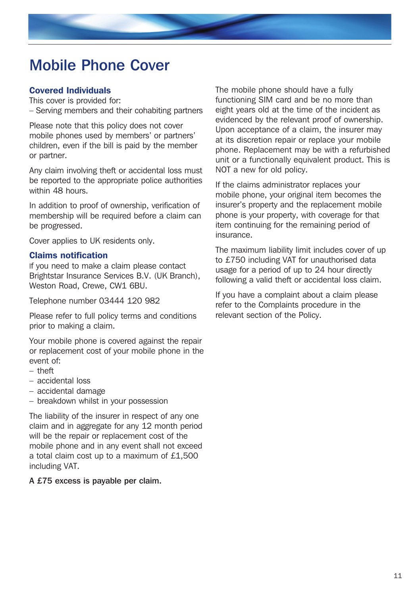# Mobile Phone Cover

# Covered Individuals

This cover is provided for: – Serving members and their cohabiting partners

Please note that this policy does not cover mobile phones used by members' or partners' children, even if the bill is paid by the member or partner.

Any claim involving theft or accidental loss must be reported to the appropriate police authorities within 48 hours.

In addition to proof of ownership, verification of membership will be required before a claim can be progressed.

Cover applies to UK residents only.

### Claims notification

If you need to make a claim please contact Brightstar Insurance Services B.V. (UK Branch), Weston Road, Crewe, CW1 6BU.

Telephone number 03444 120 982

Please refer to full policy terms and conditions prior to making a claim.

Your mobile phone is covered against the repair or replacement cost of your mobile phone in the event of:

- theft
- accidental loss
- accidental damage
- breakdown whilst in your possession

The liability of the insurer in respect of any one claim and in aggregate for any 12 month period will be the repair or replacement cost of the mobile phone and in any event shall not exceed a total claim cost up to a maximum of £1,500 including VAT.

# A £75 excess is payable per claim.

The mobile phone should have a fully functioning SIM card and be no more than eight years old at the time of the incident as evidenced by the relevant proof of ownership. Upon acceptance of a claim, the insurer may at its discretion repair or replace your mobile phone. Replacement may be with a refurbished unit or a functionally equivalent product. This is NOT a new for old policy.

If the claims administrator replaces your mobile phone, your original item becomes the insurer's property and the replacement mobile phone is your property, with coverage for that item continuing for the remaining period of insurance.

The maximum liability limit includes cover of up to £750 including VAT for unauthorised data usage for a period of up to 24 hour directly following a valid theft or accidental loss claim.

If you have a complaint about a claim please refer to the Complaints procedure in the relevant section of the Policy.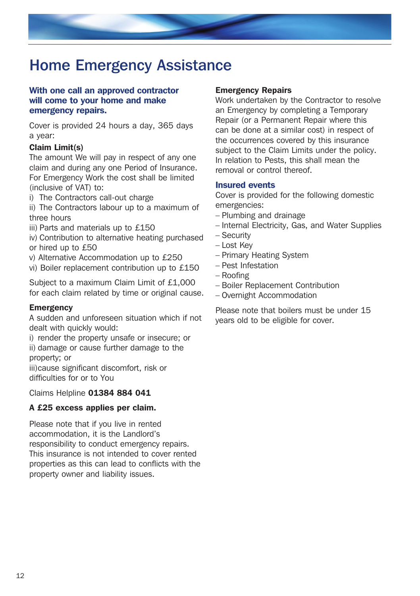

# Home Emergency Assistance

# With one call an approved contractor will come to your home and make emergency repairs.

Cover is provided 24 hours a day, 365 days a year:

# Claim Limit(s)

The amount We will pay in respect of any one claim and during any one Period of Insurance. For Emergency Work the cost shall be limited (inclusive of VAT) to:

i) The Contractors call-out charge

ii) The Contractors labour up to a maximum of three hours

- iii) Parts and materials up to £150
- iv) Contribution to alternative heating purchased or hired up to £50
- v) Alternative Accommodation up to £250
- vi) Boiler replacement contribution up to £150

Subject to a maximum Claim Limit of £1,000 for each claim related by time or original cause.

### **Emergency**

A sudden and unforeseen situation which if not dealt with quickly would:

i) render the property unsafe or insecure; or ii) damage or cause further damage to the

property; or

iii)cause significant discomfort, risk or difficulties for or to You

Claims Helpline 01384 884 041

### A £25 excess applies per claim.

Please note that if you live in rented accommodation, it is the Landlord's responsibility to conduct emergency repairs. This insurance is not intended to cover rented properties as this can lead to conflicts with the property owner and liability issues.

# Emergency Repairs

Work undertaken by the Contractor to resolve an Emergency by completing a Temporary Repair (or a Permanent Repair where this can be done at a similar cost) in respect of the occurrences covered by this insurance subject to the Claim Limits under the policy. In relation to Pests, this shall mean the removal or control thereof.

#### Insured events

Cover is provided for the following domestic emergencies:

- Plumbing and drainage
- Internal Electricity, Gas, and Water Supplies
- Security
- Lost Key
- Primary Heating System
- Pest Infestation
- Roofing
- Boiler Replacement Contribution
- Overnight Accommodation

Please note that boilers must be under 15 years old to be eligible for cover.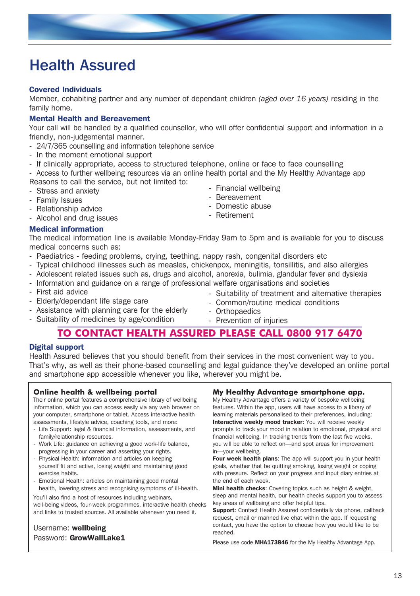# Health Assured

# Covered Individuals

Member, cohabiting partner and any number of dependant children *(aged over 16 years)* residing in the family home.

# Mental Health and Bereavement

Your call will be handled by a qualified counsellor, who will offer confidential support and information in a friendly, non-judgemental manner.

- 24/7/365 counselling and information telephone service
- In the moment emotional support
- If clinically appropriate, access to structured telephone, online or face to face counselling

- Access to further wellbeing resources via an online health portal and the My Healthy Advantage app Reasons to call the service, but not limited to:

- Stress and anxiety
- Family Issues
- Relationship advice
- Alcohol and drug issues

# Medical information

The medical information line is available Monday-Friday 9am to 5pm and is available for you to discuss medical concerns such as:

- Paediatrics feeding problems, crying, teething, nappy rash, congenital disorders etc
- Typical childhood illnesses such as measles, chickenpox, meningitis, tonsillitis, and also allergies
- Adolescent related issues such as, drugs and alcohol, anorexia, bulimia, glandular fever and dyslexia
- Information and guidance on a range of professional welfare organisations and societies
- First aid advice
- Elderly/dependant life stage care
- Assistance with planning care for the elderly
- Suitability of medicines by age/condition
- Suitability of treatment and alternative therapies
- Common/routine medical conditions
- Orthopaedics
- Prevention of injuries

# **TO CONTACT HEALTH ASSURED PLEASE CALL 0800 917 6470**

# Digital support

Health Assured believes that you should benefit from their services in the most convenient way to you. That's why, as well as their phone-based counselling and legal guidance they've developed an online portal and smartphone app accessible whenever you like, wherever you might be.

# **Online health & wellbeing portal**

Their online portal features a comprehensive library of wellbeing information, which you can access easily via any web browser on your computer, smartphone or tablet. Access interactive health assessments, lifestyle advice, coaching tools, and more:

- Life Support: legal & financial information, assessments, and family/relationship resources.
- Work Life: guidance on achieving a good work-life balance, progressing in your career and asserting your rights.
- Physical Health: information and articles on keeping yourself fit and active, losing weight and maintaining good exercise habits.
- Emotional Health: articles on maintaining good mental health, lowering stress and recognising symptoms of ill-health.

You'll also find a host of resources including webinars, well-being videos, four-week programmes, interactive health checks and links to trusted sources. All available whenever you need it.

# Username: wellbeing Password: GrowWallLake1

# **My Healthy Advantage smartphone app.**

My Healthy Advantage offers a variety of bespoke wellbeing features. Within the app, users will have access to a library of learning materials personalised to their preferences, including: Interactive weekly mood tracker: You will receive weekly prompts to track your mood in relation to emotional, physical and financial wellbeing. In tracking trends from the last five weeks, you will be able to reflect on—and spot areas for improvement in—your wellbeing.

Four week health plans: The app will support you in your health goals, whether that be quitting smoking, losing weight or coping with pressure. Reflect on your progress and input diary entries at the end of each week.

Mini health checks: Covering topics such as height & weight, sleep and mental health, our health checks support you to assess key areas of wellbeing and offer helpful tips.

Support: Contact Health Assured confidentially via phone, callback request, email or manned live chat within the app. If requesting contact, you have the option to choose how you would like to be reached.

Please use code MHA173846 for the My Healthy Advantage App.

- Financial wellbeing
- Retirement
- Bereavement
	-
	- Domestic abuse
		-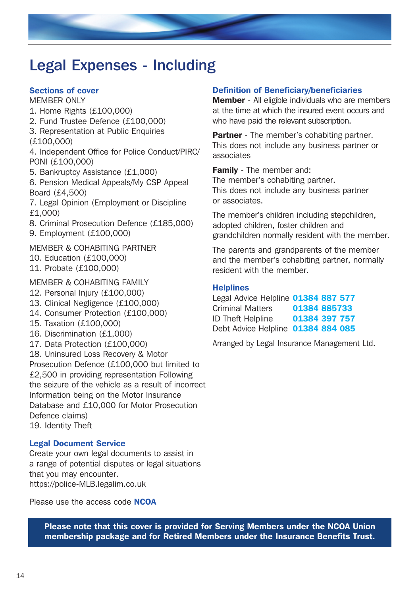# Legal Expenses - Including

# Sections of cover

MEMBER ONLY

- 1. Home Rights (£100,000)
- 2. Fund Trustee Defence (£100,000)
- 3. Representation at Public Enquiries (£100,000)

4. Independent Office for Police Conduct/PIRC/ PONI (£100,000)

5. Bankruptcy Assistance (£1,000)

6. Pension Medical Appeals/My CSP Appeal Board (£4,500)

7. Legal Opinion (Employment or Discipline £1,000)

- 8. Criminal Prosecution Defence (£185,000)
- 9. Employment (£100,000)

# MEMBER & COHABITING PARTNER

- 10. Education (£100,000)
- 11. Probate (£100,000)

# MEMBER & COHABITING FAMILY

- 12. Personal Injury (£100,000)
- 13. Clinical Negligence (£100,000)
- 14. Consumer Protection (£100,000)
- 15. Taxation (£100,000)
- 16. Discrimination (£1,000)
- 17. Data Protection (£100,000)

18. Uninsured Loss Recovery & Motor Prosecution Defence (£100,000 but limited to £2,500 in providing representation Following the seizure of the vehicle as a result of incorrect Information being on the Motor Insurance Database and £10,000 for Motor Prosecution Defence claims)

19. Identity Theft

# Legal Document Service

Create your own legal documents to assist in a range of potential disputes or legal situations that you may encounter. https://police-MLB.legalim.co.uk

Please use the access code **NCOA** 

# Definition of Beneficiary/beneficiaries

Member - All eligible individuals who are members at the time at which the insured event occurs and who have paid the relevant subscription.

**Partner** - The member's cohabiting partner. This does not include any business partner or associates

Family - The member and: The member's cohabiting partner. This does not include any business partner or associates.

The member's children including stepchildren, adopted children, foster children and grandchildren normally resident with the member.

The parents and grandparents of the member and the member's cohabiting partner, normally resident with the member.

# **Helplines**

Legal Advice Helpline 01384 887 577 Criminal Matters 01384 885733 ID Theft Helpline 01384 397 757 Debt Advice Helpline 01384 884 085

Arranged by Legal Insurance Management Ltd.

Please note that this cover is provided for Serving Members under the NCOA Union membership package and for Retired Members under the Insurance Benefits Trust.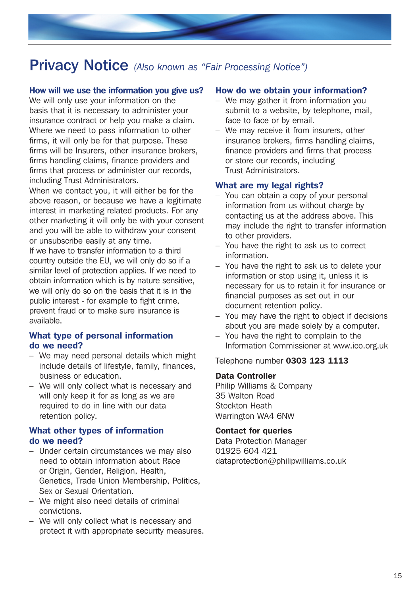# Privacy Notice *(Also known as "Fair Processing Notice")*

# How will we use the information you give us?

We will only use your information on the basis that it is necessary to administer your insurance contract or help you make a claim. Where we need to pass information to other firms, it will only be for that purpose. These firms will be Insurers, other insurance brokers, firms handling claims, finance providers and firms that process or administer our records, including Trust Administrators.

When we contact you, it will either be for the above reason, or because we have a legitimate interest in marketing related products. For any other marketing it will only be with your consent and you will be able to withdraw your consent or unsubscribe easily at any time.

If we have to transfer information to a third country outside the EU, we will only do so if a similar level of protection applies. If we need to obtain information which is by nature sensitive, we will only do so on the basis that it is in the public interest - for example to fight crime, prevent fraud or to make sure insurance is available.

# What type of personal information do we need?

- We may need personal details which might include details of lifestyle, family, finances, business or education.
- We will only collect what is necessary and will only keep it for as long as we are required to do in line with our data retention policy.

# What other types of information do we need?

- Under certain circumstances we may also need to obtain information about Race or Origin, Gender, Religion, Health, Genetics, Trade Union Membership, Politics, Sex or Sexual Orientation.
- We might also need details of criminal convictions.
- We will only collect what is necessary and protect it with appropriate security measures.

### How do we obtain your information?

- We may gather it from information you submit to a website, by telephone, mail, face to face or by email.
- We may receive it from insurers, other insurance brokers, firms handling claims, finance providers and firms that process or store our records, including Trust Administrators.

#### What are my legal rights?

- You can obtain a copy of your personal information from us without charge by contacting us at the address above. This may include the right to transfer information to other providers.
- You have the right to ask us to correct information.
- You have the right to ask us to delete your information or stop using it, unless it is necessary for us to retain it for insurance or financial purposes as set out in our document retention policy.
- You may have the right to object if decisions about you are made solely by a computer.
- You have the right to complain to the Information Commissioner at www.ico.org.uk

#### Telephone number 0303 123 1113

#### Data Controller

Philip Williams & Company 35 Walton Road Stockton Heath Warrington WA4 6NW

#### Contact for queries

Data Protection Manager 01925 604 421 dataprotection@philipwilliams.co.uk